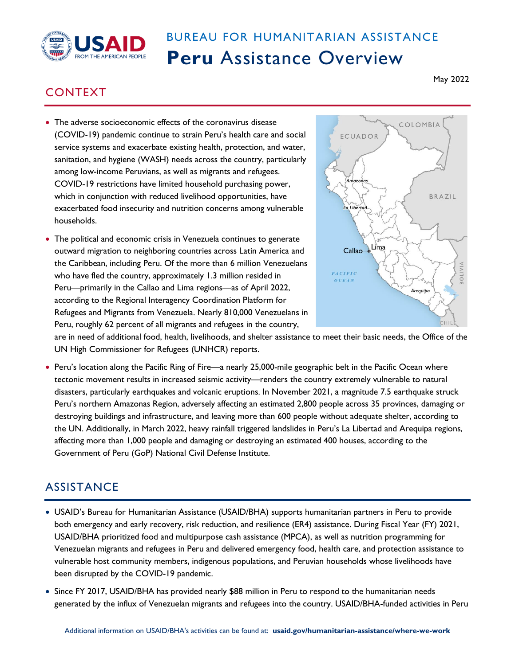

## BUREAU FOR HUMANITARIAN ASSISTANCE **Peru** Assistance Overview

## CONTEXT

- The adverse socioeconomic effects of the coronavirus disease (COVID-19) pandemic continue to strain Peru's health care and social service systems and exacerbate existing health, protection, and water, sanitation, and hygiene (WASH) needs across the country, particularly among low-income Peruvians, as well as migrants and refugees. COVID-19 restrictions have limited household purchasing power, which in conjunction with reduced livelihood opportunities, have exacerbated food insecurity and nutrition concerns among vulnerable households.
- The political and economic crisis in Venezuela continues to generate outward migration to neighboring countries across Latin America and the Caribbean, including Peru. Of the more than 6 million Venezuelans who have fled the country, approximately 1.3 million resided in Peru—primarily in the Callao and Lima regions—as of April 2022, according to the Regional Interagency Coordination Platform for Refugees and Migrants from Venezuela. Nearly 810,000 Venezuelans in Peru, roughly 62 percent of all migrants and refugees in the country,



are in need of additional food, health, livelihoods, and shelter assistance to meet their basic needs, the Office of the UN High Commissioner for Refugees (UNHCR) reports.

• Peru's location along the Pacific Ring of Fire—a nearly 25,000-mile geographic belt in the Pacific Ocean where tectonic movement results in increased seismic activity—renders the country extremely vulnerable to natural disasters, particularly earthquakes and volcanic eruptions. In November 2021, a magnitude 7.5 earthquake struck Peru's northern Amazonas Region, adversely affecting an estimated 2,800 people across 35 provinces, damaging or destroying buildings and infrastructure, and leaving more than 600 people without adequate shelter, according to the UN. Additionally, in March 2022, heavy rainfall triggered landslides in Peru's La Libertad and Arequipa regions, affecting more than 1,000 people and damaging or destroying an estimated 400 houses, according to the Government of Peru (GoP) National Civil Defense Institute.

## **ASSISTANCE**

- USAID's Bureau for Humanitarian Assistance (USAID/BHA) supports humanitarian partners in Peru to provide both emergency and early recovery, risk reduction, and resilience (ER4) assistance. During Fiscal Year (FY) 2021, USAID/BHA prioritized food and multipurpose cash assistance (MPCA), as well as nutrition programming for Venezuelan migrants and refugees in Peru and delivered emergency food, health care, and protection assistance to vulnerable host community members, indigenous populations, and Peruvian households whose livelihoods have been disrupted by the COVID-19 pandemic.
- Since FY 2017, USAID/BHA has provided nearly \$88 million in Peru to respond to the humanitarian needs generated by the influx of Venezuelan migrants and refugees into the country. USAID/BHA-funded activities in Peru

May 2022